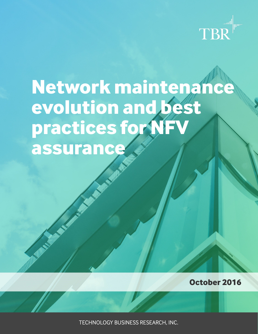

# **Network maintenance evolution and best practices for NFV assurance**

**October 2016**

TECHNOLOGY BUSINESS RESEARCH, INC.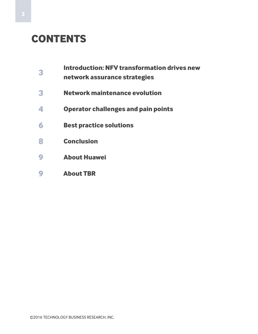## **CONTENTS**

- **Introduction: NFV transformation drives new** 
	- **network assurance strategies**
- **Network maintenance evolution**
- **Operator challenges and pain points**
- **Best practice solutions**
- **Conclusion**
- **About Huawei**
- **About TBR**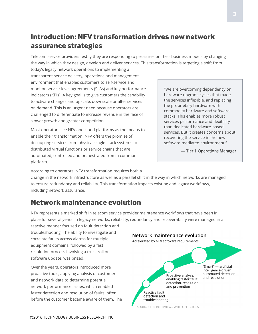## **Introduction: NFV transformation drives new network assurance strategies**

Telecom service providers testify they are responding to pressures on their business models by changing the way in which they design, develop and deliver services. This transformation is targeting a shift from

today's legacy network operations to implementing a transparent service delivery, operations and management environment that enables customers to self-service and monitor service-level agreements (SLAs) and key performance indicators (KPIs). A key goal is to give customers the capability to activate changes and upscale, downscale or alter services on demand. This is an urgent need because operators are challenged to differentiate to increase revenue in the face of slower growth and greater competition.

Most operators see NFV and cloud platforms as the means to enable their transformation. NFV offers the promise of decoupling services from physical single-stack systems to distributed virtual functions or service chains that are automated, controlled and orchestrated from a common platform.

"We are overcoming dependency on hardware upgrade cycles that made the services inflexible, and replacing the proprietary hardware with commodity hardware and software stacks. This enables more robust services performance and flexibility than dedicated hardware-based services. But it creates concerns about recovering the service in the new software-mediated environment."

— Tier 1 Operations Manager

According to operators, NFV transformation requires both a

change in the network infrastructure as well as a parallel shift in the way in which networks are managed to ensure redundancy and reliability. This transformation impacts existing and legacy workflows, including network assurance.

## **Network maintenance evolution**

NFV represents a marked shift in telecom service provider maintenance workflows that have been in place for several years. In legacy networks, reliability, redundancy and recoverability were managed in a

reactive manner focused on fault detection and troubleshooting. The ability to investigate and correlate faults across alarms for multiple equipment domains, followed by a fast resolution process involving a truck roll or software update, was prized.

Over the years, operators introduced more proactive tools, applying analysis of customer and network data to determine potential network performance issues, which enabled faster detection and resolution of faults, often before the customer became aware of them. The

#### Network maintenance evolution Accelerated by NFV software requirements "Smart" — artificial intelligence-driven automated detection Proactive analysis and resolution enabling faster fault detection, resolution and prevention Reactive fault detection and troubleshooting

SOURCE: TBR INTERVIEWS WITH OPERATORS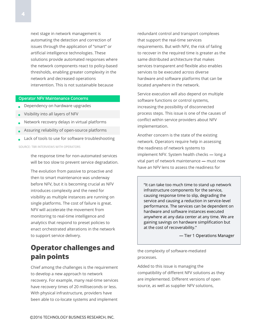next stage in network management is automating the detection and correction of issues through the application of "smart" or artificial intelligence technologies. These solutions provide automated responses where the network components react to policy-based thresholds, enabling greater complexity in the network and decreased operations intervention. This is not sustainable because

#### Operator NFV Maintenance Concerns

- Dependency on hardware upgrades
- $\bullet$ Visibility into all layers of NFV
- Network recovery delays in virtual platforms
- $\bullet$ Assuring reliability of open-source platforms
- $\bullet$ Lack of tools to use for software troubleshooting

SOURCE: TBR INTERVIEWS WITH OPERATORS

the response time for non-automated services will be too slow to prevent service degradation.

The evolution from passive to proactive and then to smart maintenance was underway before NFV, but it is becoming crucial as NFV introduces complexity and the need for visibility as multiple instances are running on single platforms. The cost of failure is great. NFV will accelerate the movement from monitoring to real-time intelligence and analytics that respond to preset policies to enact orchestrated alterations in the network to support service delivery.

## **Operator challenges and pain points**

Chief among the challenges is the requirement to develop a new approach to network recovery. For example, many real-time services have recovery times of 20 milliseconds or less. With physical infrastructure, providers have been able to co-locate systems and implement

redundant control and transport complexes that support the real-time services requirements. But with NFV, the risk of failing to recover in the required time is greater as the same distributed architecture that makes services transparent and flexible also enables services to be executed across diverse hardware and software platforms that can be located anywhere in the network.

Service execution will also depend on multiple software functions or control systems, increasing the possibility of disconnected process steps. This issue is one of the causes of conflict within service providers about NFV implementation.

Another concern is the state of the existing network. Operators require help in assessing the readiness of network systems to implement NFV. System health checks — long a vital part of network maintenance — must now have an NFV lens to assess the readiness for

"It can take too much time to stand up network infrastructure components for the service, causing response time to slip, degrading the service and causing a reduction in service-level performance. The services can be dependent on hardware and software instances executed anywhere at any data center at any time. We are gaining savings on hardware simplification but at the cost of recoverability."

— Tier 1 Operations Manager

the complexity of software-mediated processes.

Added to this issue is managing the compatibility of different NFV solutions as they are implemented. Different versions of open source, as well as supplier NFV solutions,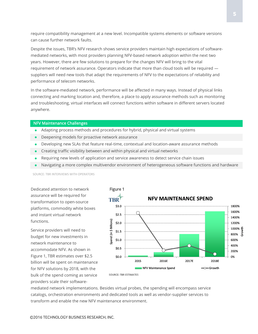require compatibility management at a new level. Incompatible systems elements or software versions can cause further network faults.

Despite the issues, TBR's NFV research shows service providers maintain high expectations of softwaremediated networks, with most providers planning NFV-based network adoption within the next two years. However, there are few solutions to prepare for the changes NFV will bring to the vital requirement of network assurance. Operators indicate that more than cloud tools will be required suppliers will need new tools that adapt the requirements of NFV to the expectations of reliability and performance of telecom networks.

In the software-mediated network, performance will be affected in many ways. Instead of physical links connecting and marking location and, therefore, a place to apply assurance methods such as monitoring and troubleshooting, virtual interfaces will connect functions within software in different servers located anywhere.

#### NFV Maintenance Challenges

- Adapting process methods and procedures for hybrid, physical and virtual systems
- Deepening models for proactive network assurance
- Developing new SLAs that feature real-time, contextual and location-aware assurance methods
- Creating traffic visibility between and within physical and virtual networks
- Requiring new levels of application and service awareness to detect service chain issues
- Navigating a more complex multivendor environment of heterogeneous software functions and hardware

SOURCE: TBR INTERVIEWS WITH OPERATORS

Dedicated attention to network assurance will be required for transformation to open-source platforms, commodity white boxes and instant virtual network functions.

Service providers will need to budget for new investments in network maintenance to accommodate NFV. As shown in Figure 1, TBR estimates over \$2.5 billion will be spent on maintenance for NFV solutions by 2018, with the bulk of the spend coming as service providers scale their software-



mediated network implementations. Besides virtual probes, the spending will encompass service catalogs, orchestration environments and dedicated tools as well as vendor-supplier services to transform and enable the new NFV maintenance environment.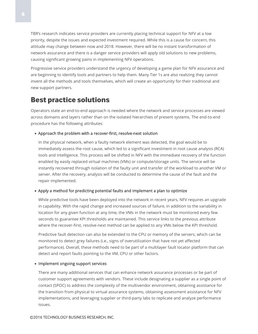TBR's research indicates service providers are currently placing technical support for NFV at a low priority, despite the issues and expected investment required. While this is a cause for concern, this attitude may change between now and 2018. However, there will be no instant transformation of network assurance and there is a danger service providers will apply old solutions to new problems, causing significant growing pains in implementing NFV operations.

Progressive service providers understand the urgency of developing a game plan for NFV assurance and are beginning to identify tools and partners to help them. Many Tier 1s are also realizing they cannot invent all the methods and tools themselves, which will create an opportunity for their traditional and new support partners.

## **Best practice solutions**

Operators state an end-to-end approach is needed where the network and service processes are viewed across domains and layers rather than on the isolated hierarchies of present systems. The end-to-end procedure has the following attributes:

#### Approach the problem with a recover-first, resolve-next solution

In the physical network, when a faulty network element was detected, the goal would be to immediately assess the root cause, which led to a significant investment in root cause analysis (RCA) tools and intelligence. This process will be shifted in NFV with the immediate recovery of the function enabled by easily replaced virtual machines (VMs) or compute/storage units. The service will be instantly recovered through isolation of the faulty unit and transfer of the workload to another VM or server. After the recovery, analysis will be conducted to determine the cause of the fault and the repair implemented.

#### Apply a method for predicting potential faults and implement a plan to optimize

While predictive tools have been deployed into the network in recent years, NFV requires an upgrade in capability. With the rapid change and increased sources of failure, in addition to the variability in location for any given function at any time, the VMs in the network must be monitored every few seconds to guarantee KPI thresholds are maintained. This service links to the previous attribute where the recover-first, resolve-next method can be applied to any VMs below the KPI threshold.

Predictive fault detection can also be extended to the CPU or memory of the servers, which can be monitored to detect grey failures (i.e., signs of overutilization that have not yet affected performance). Overall, these methods need to be part of a multilayer fault locator platform that can detect and report faults pointing to the VM, CPU or other factors.

#### • Implement ongoing support services

There are many additional services that can enhance network assurance processes or be part of customer support agreements with vendors. These include designating a supplier as a single point of contact (SPOC) to address the complexity of the multivendor environment, obtaining assistance for the transition from physical to virtual assurance systems, obtaining assessment assistance for NFV implementations, and leveraging supplier or third-party labs to replicate and analyze performance issues.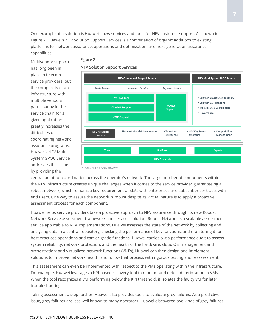One example of a solution is Huawei's new services and tools for NFV customer support. As shown in Figure 2, Huawei's NFV Solution Support Services is a combination of organic additions to existing platforms for network assurance, operations and optimization, and next-generation assurance capabilities.

Multivendor support has long been in place in telecom service providers, but the complexity of an infrastructure with multiple vendors participating in the service chain for a given application greatly increases the difficulties of coordinating network assurance programs. Huawei's NFV Multi-System SPOC Service addresses this issue by providing the

#### Figure 2

#### NFV Solution Support Services



central point for coordination across the operator's network. The large number of components within the NFV infrastructure creates unique challenges when it comes to the service provider guaranteeing a robust network, which remains a key requirement of SLAs with enterprises and subscriber contracts with end users. One way to assure the network is robust despite its virtual nature is to apply a proactive assessment process for each component.

Huawei helps service providers take a proactive approach to NFV assurance through its new Robust Network Service assessment framework and services solution. Robust Network is a scalable assessment service applicable to NFV implementations. Huawei assesses the state of the network by collecting and analyzing data in a central repository, checking the performance of key functions, and monitoring it for best practices operations and carrier-grade functions. Huawei carries out a performance audit to assess system reliability; network protection; and the health of the hardware, cloud OS, management and orchestration; and virtualized network functions (VNFs). Huawei can then design and implement solutions to improve network health, and follow that process with rigorous testing and reassessment.

This assessment can even be implemented with respect to the VMs operating within the infrastructure. For example, Huawei leverages a KPI-based recovery tool to monitor and detect deterioration in VMs. When the tool recognizes a VM performing below the KPI threshold, it isolates the faulty VM for later troubleshooting.

Taking assessment a step further, Huawei also provides tools to evaluate grey failures. As a predictive issue, grey failures are less well known to many operators. Huawei discovered two kinds of grey failures: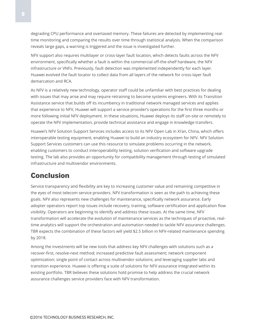degrading CPU performance and overtaxed memory. These failures are detected by implementing realtime monitoring and comparing the results over time through statistical analysis. When the comparison reveals large gaps, a warning is triggered and the issue is investigated further.

NFV support also requires multilayer or cross-layer fault location, which detects faults across the NFV environment, specifically whether a fault is within the commercial off-the-shelf hardware, the NFV infrastructure or VNFs. Previously, fault detection was implemented independently for each layer. Huawei evolved the fault locator to collect data from all layers of the network for cross-layer fault demarcation and RCA.

As NFV is a relatively new technology, operator staff could be unfamiliar with best practices for dealing with issues that may arise and may require retraining to become systems engineers. With its Transition Assistance service that builds off its incumbency in traditional network managed services and applies that experience to NFV, Huawei will support a service provider's operations for the first three months or more following initial NFV deployment. In these situations, Huawei deploys its staff on-site or remotely to operate the NFV implementation, provide technical assistance and engage in knowledge transfers.

Huawei's NFV Solution Support Services includes access to its NFV Open Lab in Xi'an, China, which offers interoperable testing equipment, enabling Huawei to build an industry ecosystem for NFV. NFV Solution Support Services customers can use this resource to simulate problems occurring in the network, enabling customers to conduct interoperability testing, solution verification and software upgrade testing. The lab also provides an opportunity for compatibility management through testing of simulated infrastructure and multivendor environments.

## **Conclusion**

Service transparency and flexibility are key to increasing customer value and remaining competitive in the eyes of most telecom service providers. NFV transformation is seen as the path to achieving these goals. NFV also represents new challenges for maintenance, specifically network assurance. Early adopter operators report top issues include recovery, training, software certification and application flow visibility. Operators are beginning to identify and address these issues. At the same time, NFV transformation will accelerate the evolution of maintenance services as the techniques of proactive, realtime analytics will support the orchestration and automation needed to tackle NFV assurance challenges. TBR expects the combination of these factors will yield \$2.5 billion in NFV-related maintenance spending by 2018.

Among the investments will be new tools that address key NFV challenges with solutions such as a recover-first, resolve-next method; increased predictive fault assessment; network component optimization; single point of contact across multivendor solutions; and leveraging supplier labs and transition experience. Huawei is offering a suite of solutions for NFV assurance integrated within its existing portfolio. TBR believes these solutions hold promise to help address the crucial network assurance challenges service providers face with NFV transformation.